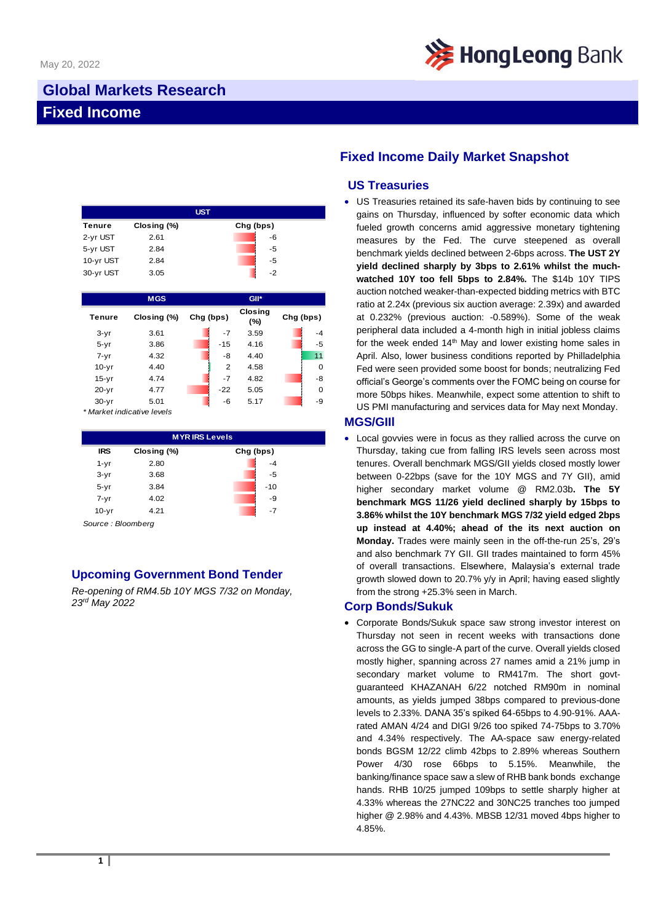

# **Global Markets Research Fixed Income**

| <b>UST</b> |             |           |      |  |  |  |
|------------|-------------|-----------|------|--|--|--|
| Tenure     | Closing (%) | Chg (bps) |      |  |  |  |
| 2-yr UST   | 2.61        |           | -6   |  |  |  |
| 5-yr UST   | 2.84        |           | -5   |  |  |  |
| 10-yr UST  | 2.84        |           | -5   |  |  |  |
| 30-yr UST  | 3.05        |           | $-2$ |  |  |  |

|           | <b>MGS</b>  |           |                | GII*                  |           |          |
|-----------|-------------|-----------|----------------|-----------------------|-----------|----------|
| Tenure    | Closing (%) | Chg (bps) |                | <b>Closing</b><br>(%) | Chg (bps) |          |
| $3-yr$    | 3.61        |           | $-7$           | 3.59                  |           | $-4$     |
| $5 - yr$  | 3.86        |           | $-15$          | 4.16                  |           | $-5$     |
| $7 - yr$  | 4.32        |           | -8             | 4.40                  |           | 11       |
| $10-yr$   | 4.40        |           | $\overline{2}$ | 4.58                  |           | $\Omega$ |
| $15-yr$   | 4.74        |           | $-7$           | 4.82                  |           | -8       |
| $20 - yr$ | 4.77        |           | $-22$          | 5.05                  |           | $\Omega$ |
| $30 - yr$ | 5.01        |           | -6             | 5.17                  |           | -9       |

*\* Market indicative levels*

| <b>MYRIRS Levels</b> |             |           |  |  |  |  |
|----------------------|-------------|-----------|--|--|--|--|
| <b>IRS</b>           | Closing (%) | Chg (bps) |  |  |  |  |
| $1 - yr$             | 2.80        | $-4$      |  |  |  |  |
| $3-yr$               | 3.68        | -5        |  |  |  |  |
| $5 - yr$             | 3.84        | $-10$     |  |  |  |  |
| $7 - yr$             | 4.02        | -9        |  |  |  |  |
| $10 - yr$            | 4.21        | $-7$      |  |  |  |  |

*Source : Bloomberg*

## **Upcoming Government Bond Tender**

*Re-opening of RM4.5b 10Y MGS 7/32 on Monday, 23rd May 2022*

# **Fixed Income Daily Market Snapshot**

### **US Treasuries**

• US Treasuries retained its safe-haven bids by continuing to see gains on Thursday, influenced by softer economic data which fueled growth concerns amid aggressive monetary tightening measures by the Fed. The curve steepened as overall benchmark yields declined between 2-6bps across. **The UST 2Y yield declined sharply by 3bps to 2.61% whilst the muchwatched 10Y too fell 5bps to 2.84%.** The \$14b 10Y TIPS auction notched weaker-than-expected bidding metrics with BTC ratio at 2.24x (previous six auction average: 2.39x) and awarded at 0.232% (previous auction: -0.589%). Some of the weak peripheral data included a 4-month high in initial jobless claims for the week ended  $14<sup>th</sup>$  May and lower existing home sales in April. Also, lower business conditions reported by Philladelphia Fed were seen provided some boost for bonds; neutralizing Fed official's George's comments over the FOMC being on course for more 50bps hikes. Meanwhile, expect some attention to shift to US PMI manufacturing and services data for May next Monday.

#### **MGS/GIIl**

• Local govvies were in focus as they rallied across the curve on Thursday, taking cue from falling IRS levels seen across most tenures. Overall benchmark MGS/GII yields closed mostly lower between 0-22bps (save for the 10Y MGS and 7Y GII), amid higher secondary market volume @ RM2.03b**. The 5Y benchmark MGS 11/26 yield declined sharply by 15bps to 3.86% whilst the 10Y benchmark MGS 7/32 yield edged 2bps up instead at 4.40%; ahead of the its next auction on Monday.** Trades were mainly seen in the off-the-run 25's, 29's and also benchmark 7Y GII. GII trades maintained to form 45% of overall transactions. Elsewhere, Malaysia's external trade growth slowed down to 20.7% y/y in April; having eased slightly from the strong +25.3% seen in March.

#### **Corp Bonds/Sukuk**

• Corporate Bonds/Sukuk space saw strong investor interest on Thursday not seen in recent weeks with transactions done across the GG to single-A part of the curve. Overall yields closed mostly higher, spanning across 27 names amid a 21% jump in secondary market volume to RM417m. The short govtguaranteed KHAZANAH 6/22 notched RM90m in nominal amounts, as yields jumped 38bps compared to previous-done levels to 2.33%. DANA 35's spiked 64-65bps to 4.90-91%. AAArated AMAN 4/24 and DIGI 9/26 too spiked 74-75bps to 3.70% and 4.34% respectively. The AA-space saw energy-related bonds BGSM 12/22 climb 42bps to 2.89% whereas Southern Power 4/30 rose 66bps to 5.15%. Meanwhile, the banking/finance space saw a slew of RHB bank bonds exchange hands. RHB 10/25 jumped 109bps to settle sharply higher at 4.33% whereas the 27NC22 and 30NC25 tranches too jumped higher @ 2.98% and 4.43%. MBSB 12/31 moved 4bps higher to 4.85%.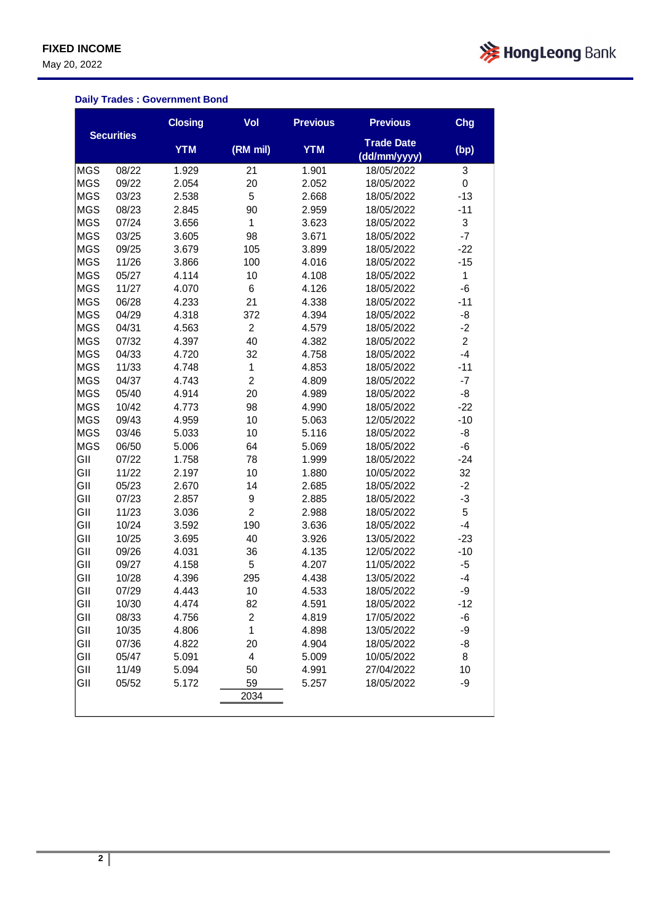May 20, 2022



## **Daily Trades : Government Bond**

|            |                   | <b>Closing</b> | Vol            | <b>Previous</b> | <b>Previous</b>                   | Chg            |
|------------|-------------------|----------------|----------------|-----------------|-----------------------------------|----------------|
|            | <b>Securities</b> | <b>YTM</b>     | (RM mil)       | <b>YTM</b>      | <b>Trade Date</b><br>(dd/mm/yyyy) | (bp)           |
| <b>MGS</b> | 08/22             | 1.929          | 21             | 1.901           | 18/05/2022                        | 3              |
| <b>MGS</b> | 09/22             | 2.054          | 20             | 2.052           | 18/05/2022                        | 0              |
| <b>MGS</b> | 03/23             | 2.538          | 5              | 2.668           | 18/05/2022                        | $-13$          |
| <b>MGS</b> | 08/23             | 2.845          | 90             | 2.959           | 18/05/2022                        | $-11$          |
| <b>MGS</b> | 07/24             | 3.656          | 1              | 3.623           | 18/05/2022                        | 3              |
| <b>MGS</b> | 03/25             | 3.605          | 98             | 3.671           | 18/05/2022                        | $-7$           |
| <b>MGS</b> | 09/25             | 3.679          | 105            | 3.899           | 18/05/2022                        | $-22$          |
| <b>MGS</b> | 11/26             | 3.866          | 100            | 4.016           | 18/05/2022                        | $-15$          |
| <b>MGS</b> | 05/27             | 4.114          | 10             | 4.108           | 18/05/2022                        | $\mathbf{1}$   |
| <b>MGS</b> | 11/27             | 4.070          | 6              | 4.126           | 18/05/2022                        | -6             |
| <b>MGS</b> | 06/28             | 4.233          | 21             | 4.338           | 18/05/2022                        | $-11$          |
| <b>MGS</b> | 04/29             | 4.318          | 372            | 4.394           | 18/05/2022                        | -8             |
| <b>MGS</b> | 04/31             | 4.563          | $\overline{c}$ | 4.579           | 18/05/2022                        | $-2$           |
| <b>MGS</b> | 07/32             | 4.397          | 40             | 4.382           | 18/05/2022                        | $\overline{2}$ |
| <b>MGS</b> | 04/33             | 4.720          | 32             | 4.758           | 18/05/2022                        | $-4$           |
| <b>MGS</b> | 11/33             | 4.748          | 1              | 4.853           | 18/05/2022                        | $-11$          |
| <b>MGS</b> | 04/37             | 4.743          | $\overline{2}$ | 4.809           | 18/05/2022                        | $-7$           |
| <b>MGS</b> | 05/40             | 4.914          | 20             | 4.989           | 18/05/2022                        | -8             |
| <b>MGS</b> | 10/42             | 4.773          | 98             | 4.990           | 18/05/2022                        | $-22$          |
| <b>MGS</b> | 09/43             | 4.959          | 10             | 5.063           | 12/05/2022                        | $-10$          |
| <b>MGS</b> | 03/46             | 5.033          | 10             | 5.116           | 18/05/2022                        | -8             |
| <b>MGS</b> | 06/50             | 5.006          | 64             | 5.069           | 18/05/2022                        | -6             |
| GII        | 07/22             | 1.758          | 78             | 1.999           | 18/05/2022                        | $-24$          |
| GII        | 11/22             | 2.197          | 10             | 1.880           | 10/05/2022                        | 32             |
| GII        | 05/23             | 2.670          | 14             | 2.685           | 18/05/2022                        | $-2$           |
| GII        | 07/23             | 2.857          | 9              | 2.885           | 18/05/2022                        | $-3$           |
| GII        | 11/23             | 3.036          | $\overline{2}$ | 2.988           | 18/05/2022                        | 5              |
| GII        | 10/24             | 3.592          | 190            | 3.636           | 18/05/2022                        | $-4$           |
| GII        | 10/25             | 3.695          | 40             | 3.926           | 13/05/2022                        | $-23$          |
| GII        | 09/26             | 4.031          | 36             | 4.135           | 12/05/2022                        | $-10$          |
| GII        | 09/27             | 4.158          | 5              | 4.207           | 11/05/2022                        | $-5$           |
| GII        | 10/28             | 4.396          | 295            | 4.438           | 13/05/2022                        | $-4$           |
| GII        | 07/29             | 4.443          | 10             | 4.533           | 18/05/2022                        | -9             |
| GII        | 10/30             | 4.474          | 82             | 4.591           | 18/05/2022                        | $-12$          |
| GII        | 08/33             | 4.756          | $\overline{2}$ | 4.819           | 17/05/2022                        | -6             |
| GII        | 10/35             | 4.806          | 1              | 4.898           | 13/05/2022                        | -9             |
| GII        | 07/36             | 4.822          | 20             | 4.904           | 18/05/2022                        | -8             |
| GII        | 05/47             | 5.091          | 4              | 5.009           | 10/05/2022                        | 8              |
| GII        | 11/49             | 5.094          | 50             | 4.991           | 27/04/2022                        | 10             |
| GII        | 05/52             | 5.172          | 59             | 5.257           | 18/05/2022                        | -9             |
|            |                   |                | 2034           |                 |                                   |                |
|            |                   |                |                |                 |                                   |                |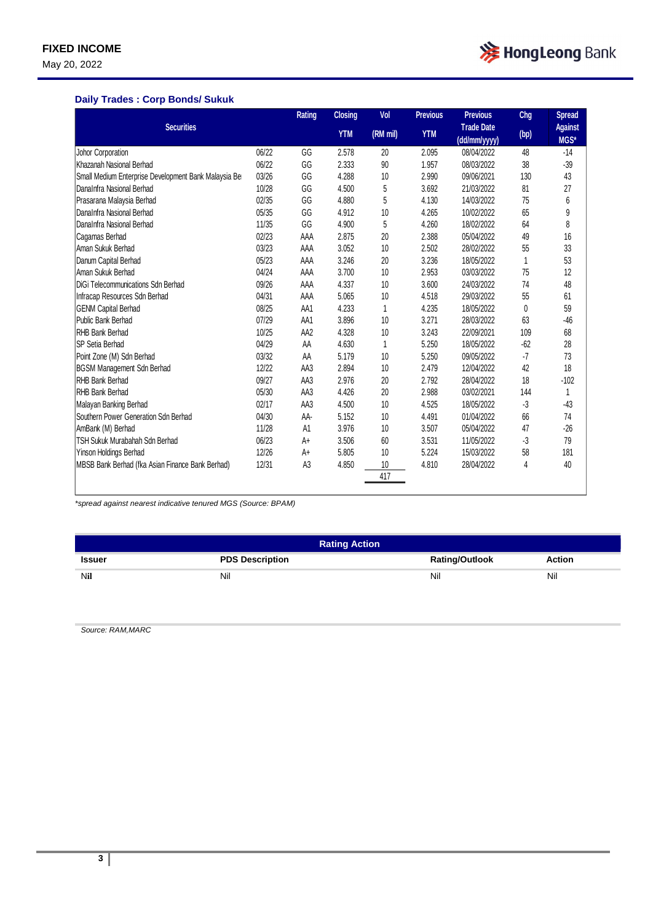May 20, 2022



### **Daily Trades : Corp Bonds/ Sukuk**

| <b>Securities</b>                                    |       | <b>Rating</b>   | <b>Closing</b> | Vol      | <b>Previous</b> | <b>Previous</b>                   | <b>Chg</b> | <b>Spread</b>          |
|------------------------------------------------------|-------|-----------------|----------------|----------|-----------------|-----------------------------------|------------|------------------------|
|                                                      |       |                 | <b>YTM</b>     | (RM mil) | <b>YTM</b>      | <b>Trade Date</b><br>(dd/mm/yyyy) | (bp)       | <b>Against</b><br>MGS* |
| Johor Corporation                                    | 06/22 | GG              | 2.578          | 20       | 2.095           | 08/04/2022                        | 48         | $-14$                  |
| Khazanah Nasional Berhad                             | 06/22 | GG              | 2.333          | 90       | 1.957           | 08/03/2022                        | 38         | $-39$                  |
| Small Medium Enterprise Development Bank Malaysia Be | 03/26 | GG              | 4.288          | 10       | 2.990           | 09/06/2021                        | 130        | 43                     |
| DanaInfra Nasional Berhad                            | 10/28 | GG              | 4.500          | 5        | 3.692           | 21/03/2022                        | 81         | 27                     |
| Prasarana Malaysia Berhad                            | 02/35 | GG              | 4.880          | 5        | 4.130           | 14/03/2022                        | 75         | 6                      |
| DanaInfra Nasional Berhad                            | 05/35 | GG              | 4.912          | 10       | 4.265           | 10/02/2022                        | 65         | 9                      |
| DanaInfra Nasional Berhad                            | 11/35 | GG              | 4.900          | 5        | 4.260           | 18/02/2022                        | 64         | 8                      |
| Cagamas Berhad                                       | 02/23 | AAA             | 2.875          | 20       | 2.388           | 05/04/2022                        | 49         | 16                     |
| Aman Sukuk Berhad                                    | 03/23 | AAA             | 3.052          | 10       | 2.502           | 28/02/2022                        | 55         | 33                     |
| Danum Capital Berhad                                 | 05/23 | AAA             | 3.246          | 20       | 3.236           | 18/05/2022                        | 1          | 53                     |
| Aman Sukuk Berhad                                    | 04/24 | AAA             | 3.700          | 10       | 2.953           | 03/03/2022                        | 75         | 12                     |
| DiGi Telecommunications Sdn Berhad                   | 09/26 | AAA             | 4.337          | 10       | 3.600           | 24/03/2022                        | 74         | 48                     |
| Infracap Resources Sdn Berhad                        | 04/31 | AAA             | 5.065          | 10       | 4.518           | 29/03/2022                        | 55         | 61                     |
| <b>GENM Capital Berhad</b>                           | 08/25 | AA1             | 4.233          | 1        | 4.235           | 18/05/2022                        | 0          | 59                     |
| Public Bank Berhad                                   | 07/29 | AA1             | 3.896          | 10       | 3.271           | 28/03/2022                        | 63         | $-46$                  |
| <b>RHB Bank Berhad</b>                               | 10/25 | AA <sub>2</sub> | 4.328          | 10       | 3.243           | 22/09/2021                        | 109        | 68                     |
| SP Setia Berhad                                      | 04/29 | AA              | 4.630          | 1        | 5.250           | 18/05/2022                        | $-62$      | 28                     |
| Point Zone (M) Sdn Berhad                            | 03/32 | AA              | 5.179          | 10       | 5.250           | 09/05/2022                        | $-7$       | 73                     |
| <b>BGSM Management Sdn Berhad</b>                    | 12/22 | AA3             | 2.894          | 10       | 2.479           | 12/04/2022                        | 42         | 18                     |
| <b>RHB Bank Berhad</b>                               | 09/27 | AA3             | 2.976          | 20       | 2.792           | 28/04/2022                        | 18         | $-102$                 |
| <b>RHB Bank Berhad</b>                               | 05/30 | AA3             | 4.426          | 20       | 2.988           | 03/02/2021                        | 144        | 1                      |
| Malayan Banking Berhad                               | 02/17 | AA3             | 4.500          | 10       | 4.525           | 18/05/2022                        | $-3$       | $-43$                  |
| Southern Power Generation Sdn Berhad                 | 04/30 | AA-             | 5.152          | 10       | 4.491           | 01/04/2022                        | 66         | 74                     |
| AmBank (M) Berhad                                    | 11/28 | A1              | 3.976          | 10       | 3.507           | 05/04/2022                        | 47         | $-26$                  |
| TSH Sukuk Murabahah Sdn Berhad                       | 06/23 | A+              | 3.506          | 60       | 3.531           | 11/05/2022                        | -3         | 79                     |
| Yinson Holdings Berhad                               | 12/26 | A+              | 5.805          | 10       | 5.224           | 15/03/2022                        | 58         | 181                    |
| MBSB Bank Berhad (fka Asian Finance Bank Berhad)     | 12/31 | A <sub>3</sub>  | 4.850          | 10       | 4.810           | 28/04/2022                        | 4          | 40                     |
|                                                      |       |                 |                | 417      |                 |                                   |            |                        |
|                                                      |       |                 |                |          |                 |                                   |            |                        |

*\*spread against nearest indicative tenured MGS (Source: BPAM)*

| <b>Rating Action</b> |                        |                       |               |  |  |  |
|----------------------|------------------------|-----------------------|---------------|--|--|--|
| Issuer               | <b>PDS Description</b> | <b>Rating/Outlook</b> | <b>Action</b> |  |  |  |
| Nil                  | Nil                    | Nil                   | Nil           |  |  |  |

*Source: RAM,MARC*